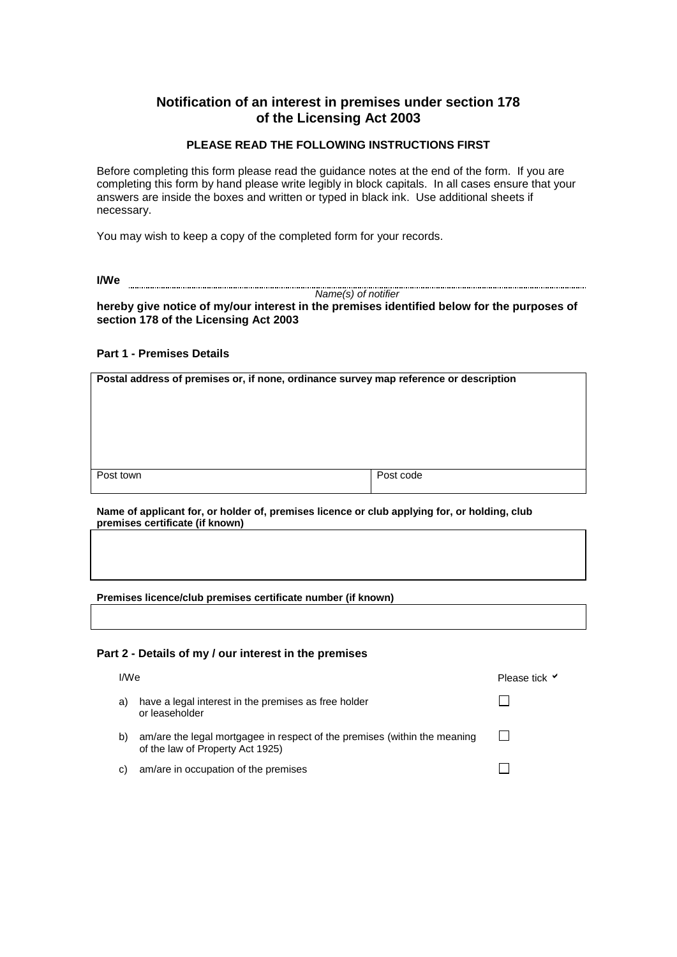# **Notification of an interest in premises under section 178 of the Licensing Act 2003**

## **PLEASE READ THE FOLLOWING INSTRUCTIONS FIRST**

Before completing this form please read the guidance notes at the end of the form. If you are completing this form by hand please write legibly in block capitals. In all cases ensure that your answers are inside the boxes and written or typed in black ink. Use additional sheets if necessary.

You may wish to keep a copy of the completed form for your records.

**I/We**

*Name(s) of notifier*

**hereby give notice of my/our interest in the premises identified below for the purposes of section 178 of the Licensing Act 2003**

### **Part 1 - Premises Details**

**Postal address of premises or, if none, ordinance survey map reference or description** Post town Post town Post code

**Name of applicant for, or holder of, premises licence or club applying for, or holding, club premises certificate (if known)**

**Premises licence/club premises certificate number (if known)**

#### **Part 2 - Details of my / our interest in the premises**

| I/We |                                                                                                               | Please tick <b>√</b> |
|------|---------------------------------------------------------------------------------------------------------------|----------------------|
| a)   | have a legal interest in the premises as free holder<br>or leaseholder                                        |                      |
| b)   | am/are the legal mortgagee in respect of the premises (within the meaning<br>of the law of Property Act 1925) |                      |
| C)   | am/are in occupation of the premises                                                                          |                      |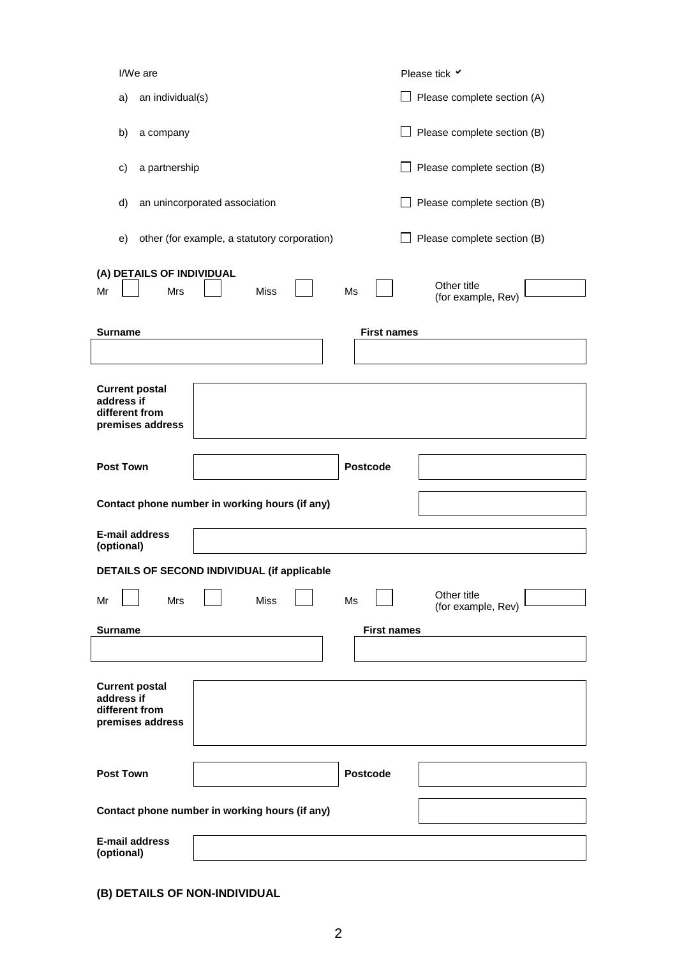| I/We are                                           | Please tick V                     |
|----------------------------------------------------|-----------------------------------|
| an individual(s)<br>a)                             | Please complete section (A)       |
| b)<br>a company                                    | Please complete section (B)       |
| a partnership<br>c)                                | Please complete section (B)       |
| an unincorporated association<br>d)                | Please complete section (B)       |
| other (for example, a statutory corporation)<br>e) | Please complete section (B)       |
| (A) DETAILS OF INDIVIDUAL                          |                                   |
| Mr<br>Mrs<br><b>Miss</b><br>Ms                     | Other title<br>(for example, Rev) |
|                                                    |                                   |
| <b>Surname</b>                                     | <b>First names</b>                |
|                                                    |                                   |
| <b>Current postal</b><br>address if                |                                   |
| different from                                     |                                   |
| premises address                                   |                                   |
|                                                    |                                   |
| <b>Post Town</b><br><b>Postcode</b>                |                                   |
|                                                    |                                   |
| Contact phone number in working hours (if any)     |                                   |
| E-mail address<br>(optional)                       |                                   |
| DETAILS OF SECOND INDIVIDUAL (if applicable        |                                   |
|                                                    | Other title                       |
| Mrs<br><b>Miss</b><br>Ms<br>Mr                     | (for example, Rev)                |
| <b>Surname</b>                                     | <b>First names</b>                |
|                                                    |                                   |
|                                                    |                                   |
| <b>Current postal</b>                              |                                   |
| address if<br>different from                       |                                   |
| premises address                                   |                                   |
|                                                    |                                   |
|                                                    |                                   |
| <b>Post Town</b><br><b>Postcode</b>                |                                   |
| Contact phone number in working hours (if any)     |                                   |
| <b>E-mail address</b>                              |                                   |
| (optional)                                         |                                   |

**(B) DETAILS OF NON-INDIVIDUAL**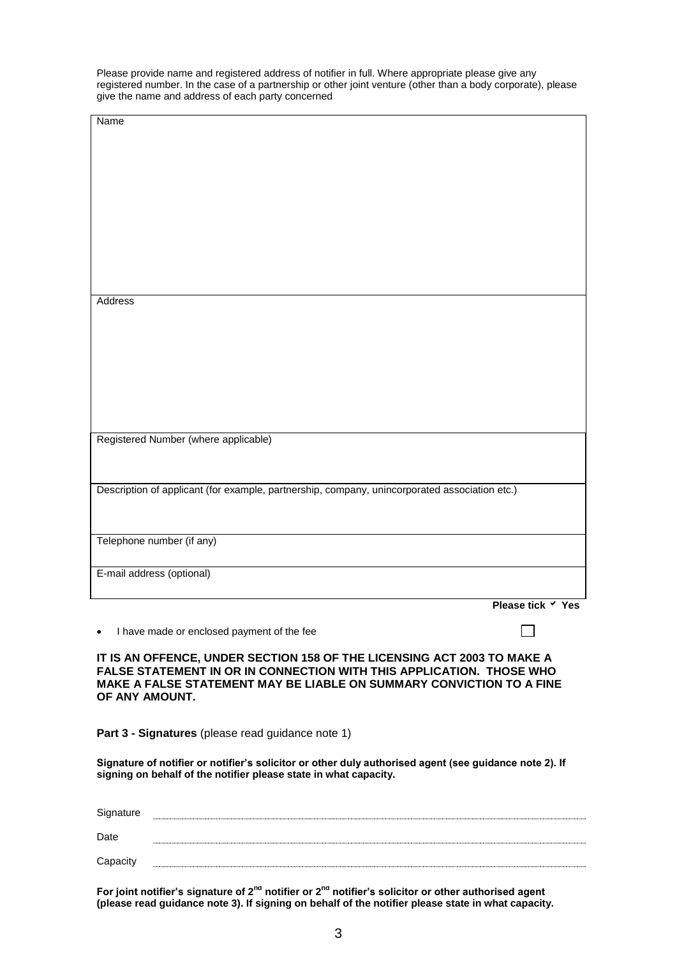Please provide name and registered address of notifier in full. Where appropriate please give any registered number. In the case of a partnership or other joint venture (other than a body corporate), please give the name and address of each party concerned

| Name                                                                                          |  |  |  |  |
|-----------------------------------------------------------------------------------------------|--|--|--|--|
|                                                                                               |  |  |  |  |
|                                                                                               |  |  |  |  |
|                                                                                               |  |  |  |  |
|                                                                                               |  |  |  |  |
|                                                                                               |  |  |  |  |
|                                                                                               |  |  |  |  |
|                                                                                               |  |  |  |  |
|                                                                                               |  |  |  |  |
|                                                                                               |  |  |  |  |
| Address                                                                                       |  |  |  |  |
|                                                                                               |  |  |  |  |
|                                                                                               |  |  |  |  |
|                                                                                               |  |  |  |  |
|                                                                                               |  |  |  |  |
|                                                                                               |  |  |  |  |
|                                                                                               |  |  |  |  |
|                                                                                               |  |  |  |  |
| Registered Number (where applicable)                                                          |  |  |  |  |
|                                                                                               |  |  |  |  |
|                                                                                               |  |  |  |  |
| Description of applicant (for example, partnership, company, unincorporated association etc.) |  |  |  |  |
|                                                                                               |  |  |  |  |
|                                                                                               |  |  |  |  |
| Telephone number (if any)                                                                     |  |  |  |  |
|                                                                                               |  |  |  |  |
| E-mail address (optional)                                                                     |  |  |  |  |
| Please tick $\checkmark$ Yes                                                                  |  |  |  |  |
|                                                                                               |  |  |  |  |
| I have made or enclosed payment of the fee<br>$\bullet$                                       |  |  |  |  |
| IT IS AN OFFENCE, UNDER SECTION 158 OF THE LICENSING ACT 2003 TO MAKE A                       |  |  |  |  |
| FALSE STATEMENT IN OR IN CONNECTION WITH THIS APPLICATION. THOSE WHO                          |  |  |  |  |
| MAKE A FALSE STATEMENT MAY BE LIABLE ON SUMMARY CONVICTION TO A FINE<br>OF ANY AMOUNT.        |  |  |  |  |
|                                                                                               |  |  |  |  |
|                                                                                               |  |  |  |  |

**Part 3 - Signatures** (please read guidance note 1)

**Signature of notifier or notifier's solicitor or other duly authorised agent (see guidance note 2). If signing on behalf of the notifier please state in what capacity.**

| Signature |  |
|-----------|--|
| Date      |  |
| Capacity  |  |

**For joint notifier's signature of 2nd notifier or 2nd notifier's solicitor or other authorised agent (please read guidance note 3). If signing on behalf of the notifier please state in what capacity.**